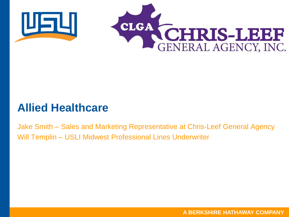



#### **Allied Healthcare**

Jake Smith – Sales and Marketing Representative at Chris-Leef General Agency Will Templin – USLI Midwest Professional Lines Underwriter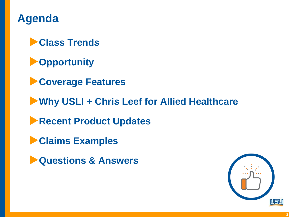

▶**Class Trends**

▶**Opportunity**

▶**Coverage Features**

▶**Why USLI + Chris Leef for Allied Healthcare**

▶**Recent Product Updates**

▶**Claims Examples**

▶**Questions & Answers**

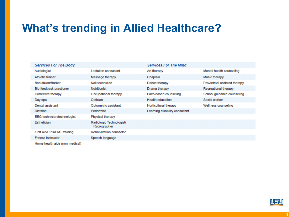### **What's trending in Allied Healthcare?**

| <b>Services For The Body</b>   |                                          | <b>Services For The Mind</b>   |                             |
|--------------------------------|------------------------------------------|--------------------------------|-----------------------------|
| Audiologist                    | <b>Lactation consultant</b>              | Art therapy                    | Mental health counseling    |
| Athletic trainer               | Massage therapy                          | Chaplain                       | Music therapy               |
| Beautician/Barber              | Nail technician                          | Dance therapy                  | Pet/Animal assisted therapy |
| Bio feedback practioner        | <b>Nutritionist</b>                      | Drama therapy                  | Recreational therapy        |
| Corrective therapy             | Occupational therapy                     | Faith-based counseling         | School quidance counseling  |
| Day spa                        | Optician                                 | <b>Health education</b>        | Social worker               |
| Dental assistant               | Optometric assistant                     | Horticultural therapy          | Wellness counseling         |
| <b>Dietitian</b>               | Pedorthist                               | Learning disability consultant |                             |
| EEG technician/technologist    | Physical therapy                         |                                |                             |
| Esthetician                    | Radiologic Technologist/<br>Radiographer |                                |                             |
| First aid/CPR/EMT training     | <b>Rehabilitation counselor</b>          |                                |                             |
| <b>Fitness instructor</b>      | Speech language                          |                                |                             |
| Home health aide (non-medical) |                                          |                                |                             |

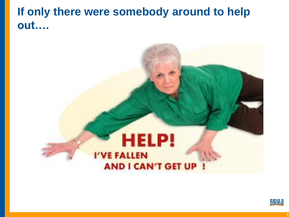### **If only there were somebody around to help out….**

# **HELP!** I'VE FALLEN **AND I CAN'T GET UP**

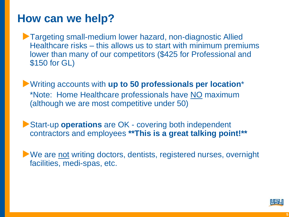#### **How can we help?**

▶Targeting small-medium lower hazard, non-diagnostic Allied Healthcare risks – this allows us to start with minimum premiums lower than many of our competitors (\$425 for Professional and \$150 for GL)

▶Writing accounts with **up to 50 professionals per location**\* \*Note: Home Healthcare professionals have NO maximum (although we are most competitive under 50)

▶Start-up **operations** are OK - covering both independent contractors and employees **\*\*This is a great talking point!\*\***

▶ We are not writing doctors, dentists, registered nurses, overnight facilities, medi-spas, etc.

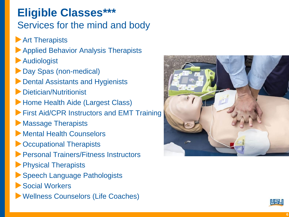#### **Eligible Classes\*\*\*** Services for the mind and body

- **Art Therapists**
- ▶ Applied Behavior Analysis Therapists
- ▶Audiologist
- ▶Day Spas (non-medical)
- ▶Dental Assistants and Hygienists
- ▶Dietician/Nutritionist
- ▶Home Health Aide (Largest Class)
- **Example 2 First Aid/CPR Instructors and EMT Training**
- ▶ Massage Therapists
- ▶ Mental Health Counselors
- ▶ Occupational Therapists
- ▶Personal Trainers/Fitness Instructors
- ▶Physical Therapists
- ▶ Speech Language Pathologists
- ▶ Social Workers
- ▶Wellness Counselors (Life Coaches)



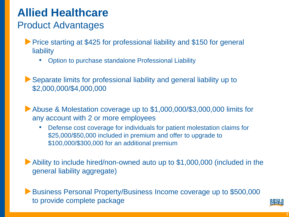# **Allied Healthcare**

#### Product Advantages

- ▶ Price starting at \$425 for professional liability and \$150 for general **liability** 
	- Option to purchase standalone Professional Liability

▶Separate limits for professional liability and general liability up to \$2,000,000/\$4,000,000

Abuse & Molestation coverage up to \$1,000,000/\$3,000,000 limits for any account with 2 or more employees

• Defense cost coverage for individuals for patient molestation claims for \$25,000/\$50,000 included in premium and offer to upgrade to \$100,000/\$300,000 for an additional premium

▶Ability to include hired/non-owned auto up to \$1,000,000 (included in the general liability aggregate)

▶Business Personal Property/Business Income coverage up to \$500,000 to provide complete package

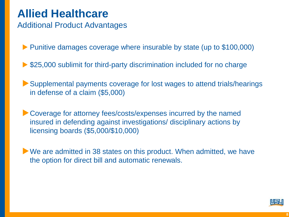### **Allied Healthcare**

Additional Product Advantages

▶ Punitive damages coverage where insurable by state (up to \$100,000)

▶ \$25,000 sublimit for third-party discrimination included for no charge

▶Supplemental payments coverage for lost wages to attend trials/hearings in defense of a claim (\$5,000)

▶Coverage for attorney fees/costs/expenses incurred by the named insured in defending against investigations/ disciplinary actions by licensing boards (\$5,000/\$10,000)

▶ We are admitted in 38 states on this product. When admitted, we have the option for direct bill and automatic renewals.

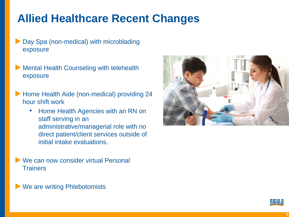# **Allied Healthcare Recent Changes**

- Day Spa (non-medical) with microblading exposure
- **Mental Health Counseling with telehealth** exposure
- ▶ Home Health Aide (non-medical) providing 24 hour shift work
	- Home Health Agencies with an RN on staff serving in an administrative/managerial role with no direct patient/client services outside of initial intake evaluations.
- We can now consider virtual Personal **Trainers**





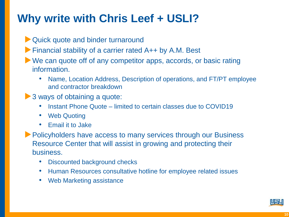# **Why write with Chris Leef + USLI?**

- ▶Quick quote and binder turnaround
- ▶Financial stability of a carrier rated A++ by A.M. Best
- ▶ We can quote off of any competitor apps, accords, or basic rating information.
	- Name, Location Address, Description of operations, and FT/PT employee and contractor breakdown
- ▶ 3 ways of obtaining a quote:
	- Instant Phone Quote limited to certain classes due to COVID19
	- Web Quoting
	- Email it to Jake
- ▶ Policyholders have access to many services through our Business Resource Center that will assist in growing and protecting their business.
	- Discounted background checks
	- Human Resources consultative hotline for employee related issues
	- Web Marketing assistance

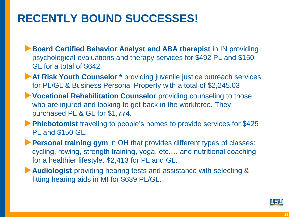# **RECENTLY BOUND SUCCESSES!**

▶**Board Certified Behavior Analyst and ABA therapist in IN providing** psychological evaluations and therapy services for \$492 PL and \$150 GL for a total of \$642.

- ▶ At Risk Youth Counselor <sup>\*</sup> providing juvenile justice outreach services for PL/GL & Business Personal Property with a total of \$2,245.03
- ▶**Vocational Rehabilitation Counselor** providing counseling to those who are injured and looking to get back in the workforce. They purchased PL & GL for \$1,774.
- ▶**Phlebotomist** traveling to people's homes to provide services for \$425 PL and \$150 GL.

▶**Personal training gym** in OH that provides different types of classes: cycling, rowing, strength training, yoga, etc.… and nutritional coaching for a healthier lifestyle. \$2,413 for PL and GL.

▶**Audiologist** providing hearing tests and assistance with selecting & fitting hearing aids in MI for \$639 PL/GL.

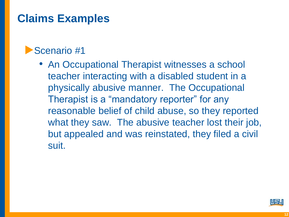#### ▶Scenario #1

• An Occupational Therapist witnesses a school teacher interacting with a disabled student in a physically abusive manner. The Occupational Therapist is a "mandatory reporter" for any reasonable belief of child abuse, so they reported what they saw. The abusive teacher lost their job, but appealed and was reinstated, they filed a civil suit.

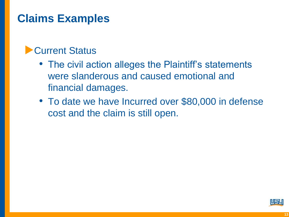#### ▶ Current Status

- The civil action alleges the Plaintiff's statements were slanderous and caused emotional and financial damages.
- To date we have Incurred over \$80,000 in defense cost and the claim is still open.

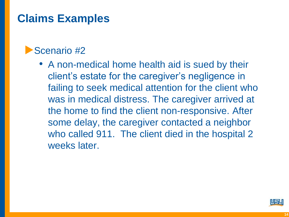#### ▶Scenario #2

• A non-medical home health aid is sued by their client's estate for the caregiver's negligence in failing to seek medical attention for the client who was in medical distress. The caregiver arrived at the home to find the client non-responsive. After some delay, the caregiver contacted a neighbor who called 911. The client died in the hospital 2 weeks later.

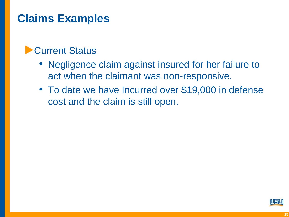#### ▶ Current Status

- Negligence claim against insured for her failure to act when the claimant was non-responsive.
- To date we have Incurred over \$19,000 in defense cost and the claim is still open.

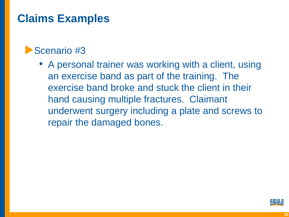#### ▶Scenario #3

• A personal trainer was working with a client, using an exercise band as part of the training. The exercise band broke and stuck the client in their hand causing multiple fractures. Claimant underwent surgery including a plate and screws to repair the damaged bones.

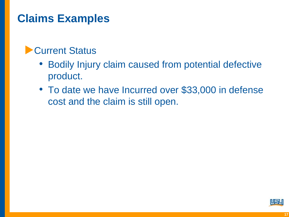#### ▶ Current Status

- Bodily Injury claim caused from potential defective product.
- To date we have Incurred over \$33,000 in defense cost and the claim is still open.

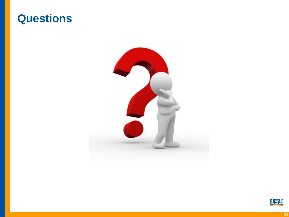#### **Questions**